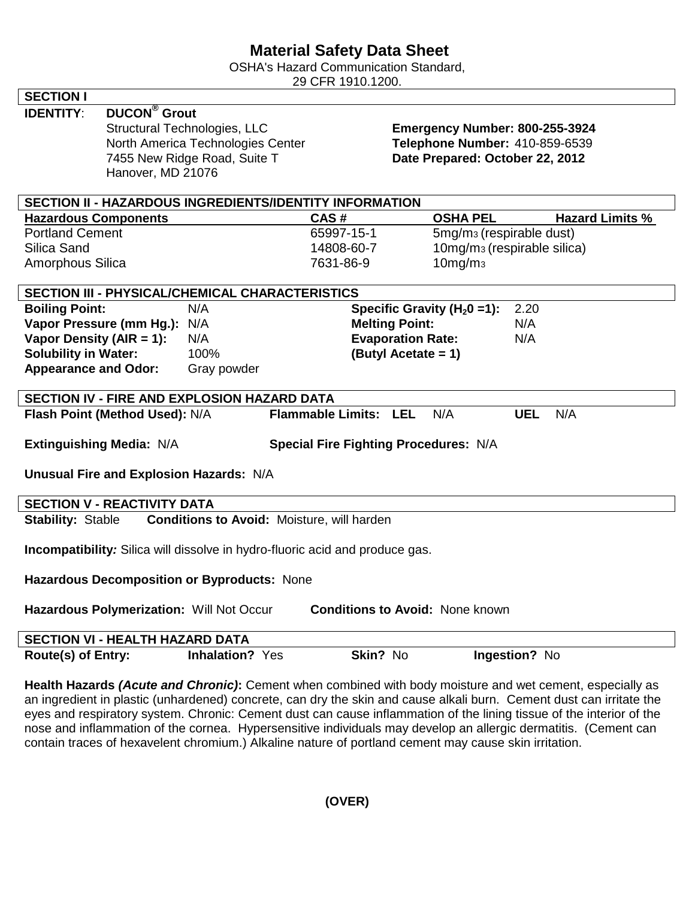## **Material Safety Data Sheet**

OSHA's Hazard Communication Standard,

29 CFR 1910.1200.

|                                                                                                                 |                                                   | UI IN IUIU.ILUU                 |                                              |                        |  |
|-----------------------------------------------------------------------------------------------------------------|---------------------------------------------------|---------------------------------|----------------------------------------------|------------------------|--|
| <b>SECTION I</b>                                                                                                |                                                   |                                 |                                              |                        |  |
| <b>DUCON<sup>®</sup></b> Grout<br><b>IDENTITY:</b>                                                              |                                                   |                                 |                                              |                        |  |
|                                                                                                                 | Structural Technologies, LLC                      |                                 | Emergency Number: 800-255-3924               |                        |  |
|                                                                                                                 | North America Technologies Center                 |                                 | Telephone Number: 410-859-6539               |                        |  |
|                                                                                                                 | 7455 New Ridge Road, Suite T                      | Date Prepared: October 22, 2012 |                                              |                        |  |
| Hanover, MD 21076                                                                                               |                                                   |                                 |                                              |                        |  |
|                                                                                                                 |                                                   |                                 |                                              |                        |  |
| <b>SECTION II - HAZARDOUS INGREDIENTS/IDENTITY INFORMATION</b>                                                  |                                                   |                                 |                                              |                        |  |
| <b>Hazardous Components</b>                                                                                     |                                                   | CAS#                            | <b>OSHA PEL</b>                              | <b>Hazard Limits %</b> |  |
| <b>Portland Cement</b>                                                                                          |                                                   | 65997-15-1                      | 5mg/m <sub>3</sub> (respirable dust)         |                        |  |
| Silica Sand                                                                                                     |                                                   | 14808-60-7                      | 10mg/m <sub>3</sub> (respirable silica)      |                        |  |
| Amorphous Silica                                                                                                |                                                   | 7631-86-9                       | 10mg/m <sub>3</sub>                          |                        |  |
|                                                                                                                 |                                                   |                                 |                                              |                        |  |
| SECTION III - PHYSICAL/CHEMICAL CHARACTERISTICS                                                                 |                                                   |                                 |                                              |                        |  |
| <b>Boiling Point:</b>                                                                                           | N/A                                               |                                 | Specific Gravity ( $H_2$ 0 = 1):             | 2.20                   |  |
| Vapor Pressure (mm Hg.): N/A                                                                                    |                                                   | <b>Melting Point:</b>           |                                              | N/A                    |  |
| Vapor Density (AIR = $1$ ):                                                                                     | N/A                                               |                                 | <b>Evaporation Rate:</b>                     | N/A                    |  |
| <b>Solubility in Water:</b>                                                                                     | 100%                                              |                                 | (Butyl Acetate = 1)                          |                        |  |
| <b>Appearance and Odor:</b>                                                                                     | Gray powder                                       |                                 |                                              |                        |  |
|                                                                                                                 |                                                   |                                 |                                              |                        |  |
| SECTION IV - FIRE AND EXPLOSION HAZARD DATA                                                                     |                                                   |                                 |                                              |                        |  |
| Flash Point (Method Used): N/A                                                                                  |                                                   | <b>Flammable Limits: LEL</b>    | N/A                                          | N/A<br><b>UEL</b>      |  |
|                                                                                                                 |                                                   |                                 |                                              |                        |  |
| Extinguishing Media: N/A                                                                                        |                                                   |                                 | <b>Special Fire Fighting Procedures: N/A</b> |                        |  |
|                                                                                                                 |                                                   |                                 |                                              |                        |  |
| Unusual Fire and Explosion Hazards: N/A                                                                         |                                                   |                                 |                                              |                        |  |
| <b>SECTION V - REACTIVITY DATA</b>                                                                              |                                                   |                                 |                                              |                        |  |
| <b>Stability: Stable</b>                                                                                        | <b>Conditions to Avoid: Moisture, will harden</b> |                                 |                                              |                        |  |
|                                                                                                                 |                                                   |                                 |                                              |                        |  |
| Incompatibility: Silica will dissolve in hydro-fluoric acid and produce gas.                                    |                                                   |                                 |                                              |                        |  |
|                                                                                                                 |                                                   |                                 |                                              |                        |  |
| Hazardous Decomposition or Byproducts: None                                                                     |                                                   |                                 |                                              |                        |  |
|                                                                                                                 |                                                   |                                 |                                              |                        |  |
| Hazardous Polymerization: Will Not Occur                                                                        |                                                   |                                 | <b>Conditions to Avoid: None known</b>       |                        |  |
|                                                                                                                 |                                                   |                                 |                                              |                        |  |
| <b>SECTION VI - HEALTH HAZARD DATA</b>                                                                          |                                                   |                                 |                                              |                        |  |
| Route(s) of Entry:                                                                                              | <b>Inhalation? Yes</b>                            | Skin? No                        |                                              | Ingestion? No          |  |
|                                                                                                                 |                                                   |                                 |                                              |                        |  |
| <b>Health Hazards (Acute and Chronic):</b> Cement when combined with body moisture and wet cement especially as |                                                   |                                 |                                              |                        |  |

**and Chronic):** Cement when combined with body moisture and wet cement, especially as an ingredient in plastic (unhardened) concrete, can dry the skin and cause alkali burn. Cement dust can irritate the eyes and respiratory system. Chronic: Cement dust can cause inflammation of the lining tissue of the interior of the nose and inflammation of the cornea. Hypersensitive individuals may develop an allergic dermatitis. (Cement can contain traces of hexavelent chromium.) Alkaline nature of portland cement may cause skin irritation.

**(OVER)**